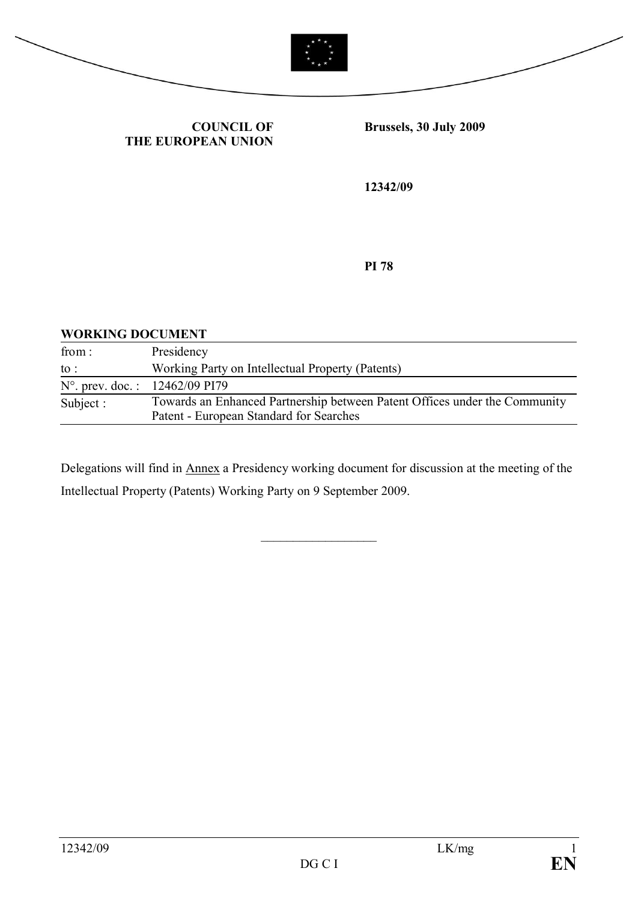



**COUNCIL OF THE EUROPEAN UNION** **Brussels, 30 July 2009**

**12342/09**

**PI 78**

#### **WORKING DOCUMENT**

| from:                                   | Presidency                                                                 |
|-----------------------------------------|----------------------------------------------------------------------------|
| to :                                    | Working Party on Intellectual Property (Patents)                           |
| $N^{\circ}$ . prev. doc.: 12462/09 PI79 |                                                                            |
| Subject :                               | Towards an Enhanced Partnership between Patent Offices under the Community |
|                                         | Patent - European Standard for Searches                                    |

Delegations will find in Annex a Presidency working document for discussion at the meeting of the Intellectual Property (Patents) Working Party on 9 September 2009.

 $\mathcal{L}$  , we have the set of the set of the set of the set of the set of the set of the set of the set of the set of the set of the set of the set of the set of the set of the set of the set of the set of the set of the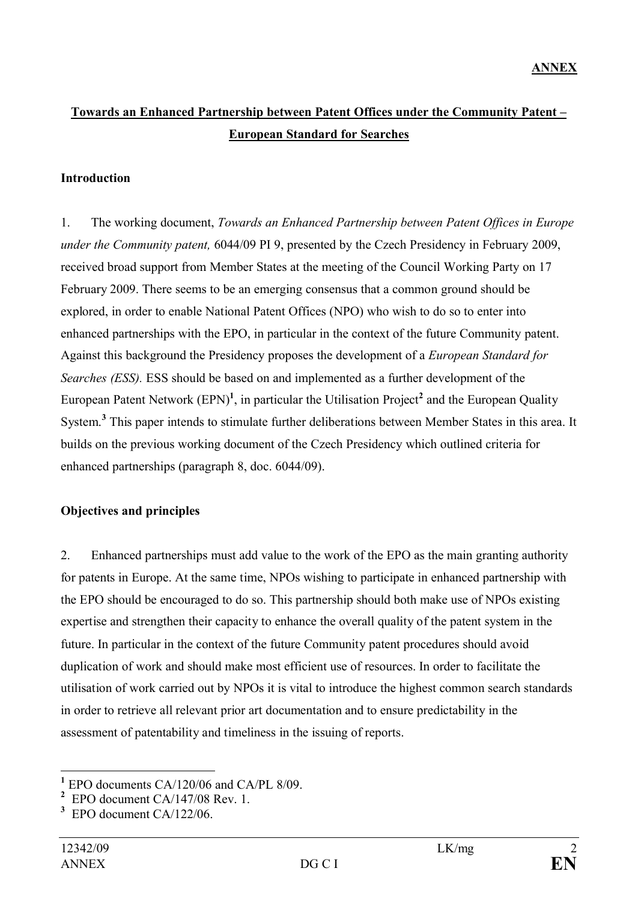# **Towards an Enhanced Partnership between Patent Offices under the Community Patent – European Standard for Searches**

#### **Introduction**

1. The working document, *Towards an Enhanced Partnership between Patent Offices in Europe under the Community patent,* 6044/09 PI 9, presented by the Czech Presidency in February 2009, received broad support from Member States at the meeting of the Council Working Party on 17 February 2009. There seems to be an emerging consensus that a common ground should be explored, in order to enable National Patent Offices (NPO) who wish to do so to enter into enhanced partnerships with the EPO, in particular in the context of the future Community patent. Against this background the Presidency proposes the development of a *European Standard for Searches (ESS).* ESS should be based on and implemented as a further development of the European Patent Network (EPN)<sup>1</sup>, in particular the Utilisation Project<sup>2</sup> and the European Quality System. **3** This paper intends to stimulate further deliberations between Member States in this area. It builds on the previous working document of the Czech Presidency which outlined criteria for enhanced partnerships (paragraph 8, doc. 6044/09).

### **Objectives and principles**

2. Enhanced partnerships must add value to the work of the EPO as the main granting authority for patents in Europe. At the same time, NPOs wishing to participate in enhanced partnership with the EPO should be encouraged to do so. This partnership should both make use of NPOs existing expertise and strengthen their capacity to enhance the overall quality of the patent system in the future. In particular in the context of the future Community patent procedures should avoid duplication of work and should make most efficient use of resources. In order to facilitate the utilisation of work carried out by NPOs it is vital to introduce the highest common search standards in order to retrieve all relevant prior art documentation and to ensure predictability in the assessment of patentability and timeliness in the issuing of reports.

**<sup>1</sup>** EPO documents CA/120/06 and CA/PL 8/09.

**<sup>2</sup>** EPO document CA/147/08 Rev. 1.

**<sup>3</sup>** EPO document CA/122/06.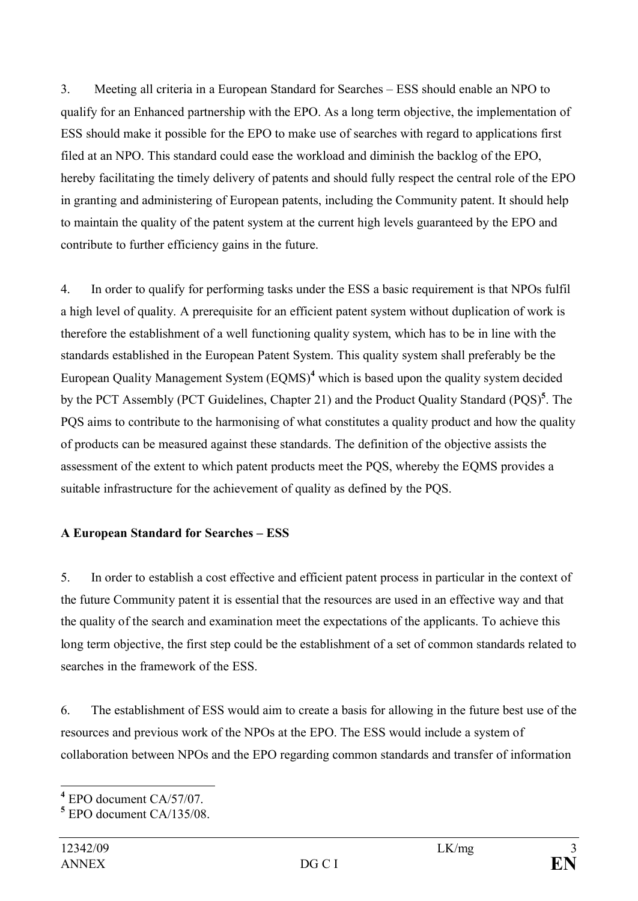3. Meeting all criteria in a European Standard for Searches – ESS should enable an NPO to qualify for an Enhanced partnership with the EPO. As a long term objective, the implementation of ESS should make it possible for the EPO to make use of searches with regard to applications first filed at an NPO. This standard could ease the workload and diminish the backlog of the EPO, hereby facilitating the timely delivery of patents and should fully respect the central role of the EPO in granting and administering of European patents, including the Community patent. It should help to maintain the quality of the patent system at the current high levels guaranteed by the EPO and contribute to further efficiency gains in the future.

4. In order to qualify for performing tasks under the ESS a basic requirement is that NPOs fulfil a high level of quality. A prerequisite for an efficient patent system without duplication of work is therefore the establishment of a well functioning quality system, which has to be in line with the standards established in the European Patent System. This quality system shall preferably be the European Quality Management System (EQMS) **<sup>4</sup>** which is based upon the quality system decided by the PCT Assembly (PCT Guidelines, Chapter 21) and the Product Quality Standard (PQS)<sup>5</sup>. The PQS aims to contribute to the harmonising of what constitutes a quality product and how the quality of products can be measured against these standards. The definition of the objective assists the assessment of the extent to which patent products meet the PQS, whereby the EQMS provides a suitable infrastructure for the achievement of quality as defined by the PQS.

## **A European Standard for Searches – ESS**

5. In order to establish a cost effective and efficient patent process in particular in the context of the future Community patent it is essential that the resources are used in an effective way and that the quality of the search and examination meet the expectations of the applicants. To achieve this long term objective, the first step could be the establishment of a set of common standards related to searches in the framework of the ESS.

6. The establishment of ESS would aim to create a basis for allowing in the future best use of the resources and previous work of the NPOs at the EPO. The ESS would include a system of collaboration between NPOs and the EPO regarding common standards and transfer of information

**<sup>4</sup>** EPO document CA/57/07.

**<sup>5</sup>** EPO document CA/135/08.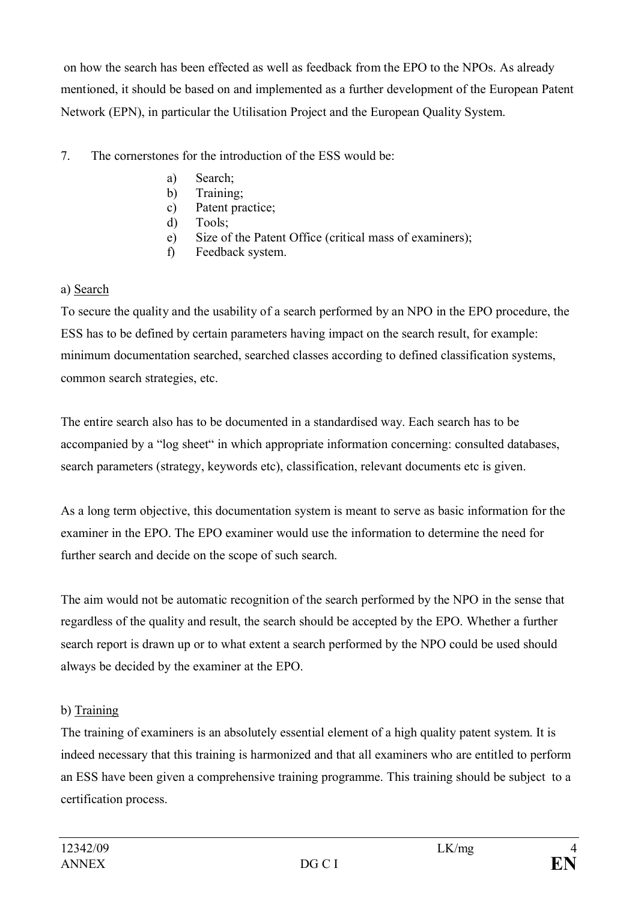on how the search has been effected as well as feedback from the EPO to the NPOs. As already mentioned, it should be based on and implemented as a further development of the European Patent Network (EPN), in particular the Utilisation Project and the European Quality System.

## 7. The cornerstones for the introduction of the ESS would be:

- a) Search;
- b) Training;
- c) Patent practice;
- d) Tools;
- e) Size of the Patent Office (critical mass of examiners);
- f) Feedback system.

## a) Search

To secure the quality and the usability of a search performed by an NPO in the EPO procedure, the ESS has to be defined by certain parameters having impact on the search result, for example: minimum documentation searched, searched classes according to defined classification systems, common search strategies, etc.

The entire search also has to be documented in a standardised way. Each search has to be accompanied by a "log sheet" in which appropriate information concerning: consulted databases, search parameters (strategy, keywords etc), classification, relevant documents etc is given.

As a long term objective, this documentation system is meant to serve as basic information for the examiner in the EPO. The EPO examiner would use the information to determine the need for further search and decide on the scope of such search.

The aim would not be automatic recognition of the search performed by the NPO in the sense that regardless of the quality and result, the search should be accepted by the EPO. Whether a further search report is drawn up or to what extent a search performed by the NPO could be used should always be decided by the examiner at the EPO.

# b) Training

The training of examiners is an absolutely essential element of a high quality patent system. It is indeed necessary that this training is harmonized and that all examiners who are entitled to perform an ESS have been given a comprehensive training programme. This training should be subject to a certification process.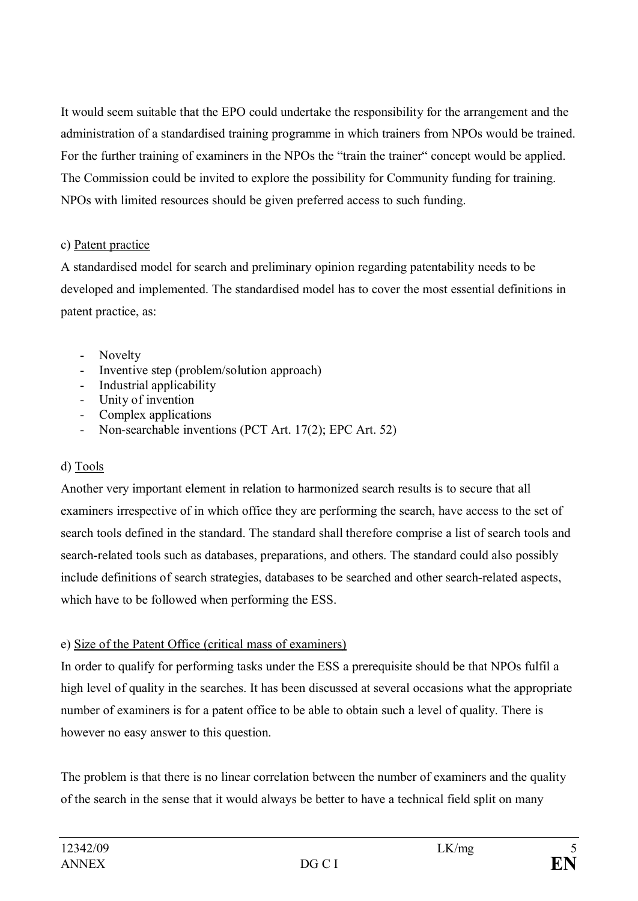It would seem suitable that the EPO could undertake the responsibility for the arrangement and the administration of a standardised training programme in which trainers from NPOs would be trained. For the further training of examiners in the NPOs the "train the trainer" concept would be applied. The Commission could be invited to explore the possibility for Community funding for training. NPOs with limited resources should be given preferred access to such funding.

### c) Patent practice

A standardised model for search and preliminary opinion regarding patentability needs to be developed and implemented. The standardised model has to cover the most essential definitions in patent practice, as:

- Novelty
- Inventive step (problem/solution approach)
- Industrial applicability
- Unity of invention
- Complex applications
- Non-searchable inventions (PCT Art. 17(2); EPC Art. 52)

## d) Tools

Another very important element in relation to harmonized search results is to secure that all examiners irrespective of in which office they are performing the search, have access to the set of search tools defined in the standard. The standard shall therefore comprise a list of search tools and search-related tools such as databases, preparations, and others. The standard could also possibly include definitions of search strategies, databases to be searched and other search-related aspects, which have to be followed when performing the ESS.

## e) Size of the Patent Office (critical mass of examiners)

In order to qualify for performing tasks under the ESS a prerequisite should be that NPOs fulfil a high level of quality in the searches. It has been discussed at several occasions what the appropriate number of examiners is for a patent office to be able to obtain such a level of quality. There is however no easy answer to this question.

The problem is that there is no linear correlation between the number of examiners and the quality of the search in the sense that it would always be better to have a technical field split on many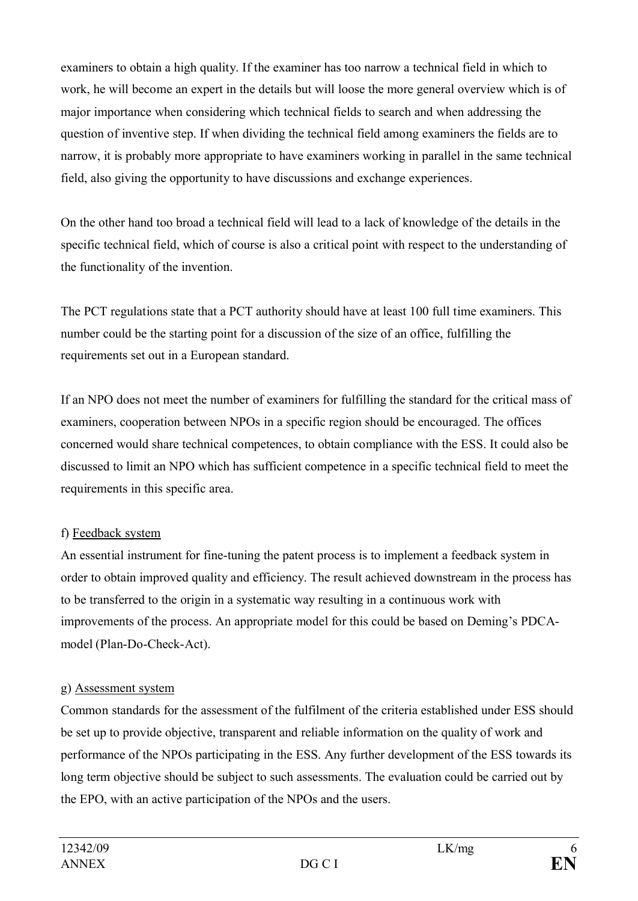examiners to obtain a high quality. If the examiner has too narrow a technical field in which to work, he will become an expert in the details but will loose the more general overview which is of major importance when considering which technical fields to search and when addressing the question of inventive step. If when dividing the technical field among examiners the fields are to narrow, it is probably more appropriate to have examiners working in parallel in the same technical field, also giving the opportunity to have discussions and exchange experiences.

On the other hand too broad a technical field will lead to a lack of knowledge of the details in the specific technical field, which of course is also a critical point with respect to the understanding of the functionality of the invention.

The PCT regulations state that a PCT authority should have at least 100 full time examiners. This number could be the starting point for a discussion of the size of an office, fulfilling the requirements set out in a European standard.

If an NPO does not meet the number of examiners for fulfilling the standard for the critical mass of examiners, cooperation between NPOs in a specific region should be encouraged. The offices concerned would share technical competences, to obtain compliance with the ESS. It could also be discussed to limit an NPO which has sufficient competence in a specific technical field to meet the requirements in this specific area.

## f) Feedback system

An essential instrument for fine-tuning the patent process is to implement a feedback system in order to obtain improved quality and efficiency. The result achieved downstream in the process has to be transferred to the origin in a systematic way resulting in a continuous work with improvements of the process. An appropriate model for this could be based on Deming's PDCAmodel (Plan-Do-Check-Act).

## g) Assessment system

Common standards for the assessment of the fulfilment of the criteria established under ESS should be set up to provide objective, transparent and reliable information on the quality of work and performance of the NPOs participating in the ESS. Any further development of the ESS towards its long term objective should be subject to such assessments. The evaluation could be carried out by the EPO, with an active participation of the NPOs and the users.